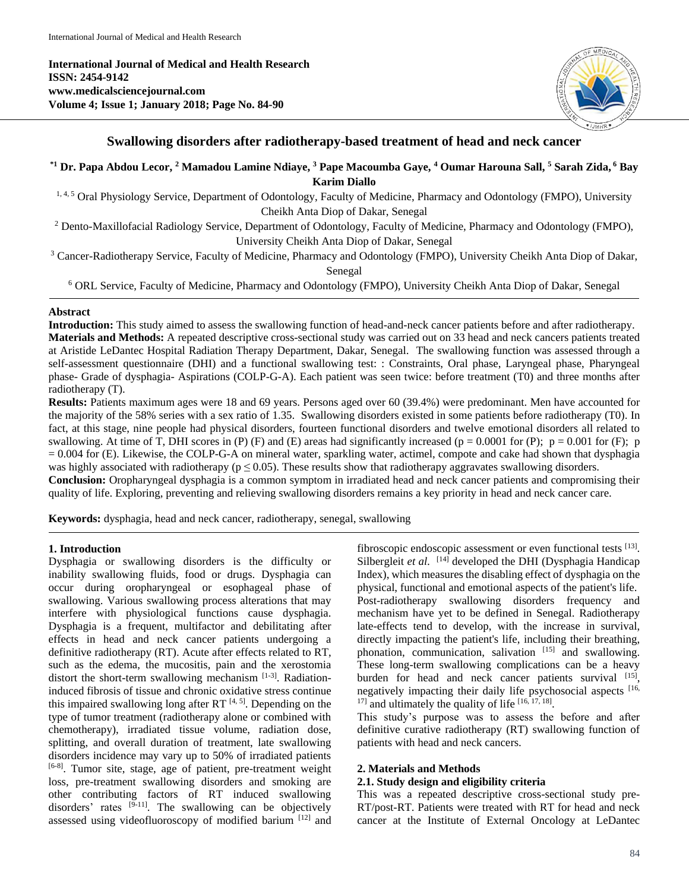**International Journal of Medical and Health Research ISSN: 2454-9142 www.medicalsciencejournal.com Volume 4; Issue 1; January 2018; Page No. 84-90**



## **Swallowing disorders after radiotherapy-based treatment of head and neck cancer**

**\*1 Dr. Papa Abdou Lecor, <sup>2</sup> Mamadou Lamine Ndiaye, <sup>3</sup> Pape Macoumba Gaye, <sup>4</sup> Oumar Harouna Sall, <sup>5</sup> Sarah Zida, <sup>6</sup> Bay Karim Diallo**

<sup>1, 4, 5</sup> Oral Physiology Service, Department of Odontology, Faculty of Medicine, Pharmacy and Odontology (FMPO), University Cheikh Anta Diop of Dakar, Senegal

<sup>2</sup> Dento-Maxillofacial Radiology Service, Department of Odontology, Faculty of Medicine, Pharmacy and Odontology (FMPO), University Cheikh Anta Diop of Dakar, Senegal

<sup>3</sup> Cancer-Radiotherapy Service, Faculty of Medicine, Pharmacy and Odontology (FMPO), University Cheikh Anta Diop of Dakar, Senegal

<sup>6</sup> ORL Service, Faculty of Medicine, Pharmacy and Odontology (FMPO), University Cheikh Anta Diop of Dakar, Senegal

### **Abstract**

**Introduction:** This study aimed to assess the swallowing function of head-and-neck cancer patients before and after radiotherapy. **Materials and Methods:** A repeated descriptive cross-sectional study was carried out on 33 head and neck cancers patients treated at Aristide LeDantec Hospital Radiation Therapy Department, Dakar, Senegal. The swallowing function was assessed through a self-assessment questionnaire (DHI) and a functional swallowing test: : Constraints, Oral phase, Laryngeal phase, Pharyngeal phase- Grade of dysphagia- Aspirations (COLP-G-A). Each patient was seen twice: before treatment (T0) and three months after radiotherapy (T).

**Results:** Patients maximum ages were 18 and 69 years. Persons aged over 60 (39.4%) were predominant. Men have accounted for the majority of the 58% series with a sex ratio of 1.35. Swallowing disorders existed in some patients before radiotherapy (T0). In fact, at this stage, nine people had physical disorders, fourteen functional disorders and twelve emotional disorders all related to swallowing. At time of T, DHI scores in (P) (F) and (E) areas had significantly increased ( $p = 0.0001$  for (P);  $p = 0.001$  for (F); p = 0.004 for (E). Likewise, the COLP-G-A on mineral water, sparkling water, actimel, compote and cake had shown that dysphagia was highly associated with radiotherapy ( $p \le 0.05$ ). These results show that radiotherapy aggravates swallowing disorders.

**Conclusion:** Oropharyngeal dysphagia is a common symptom in irradiated head and neck cancer patients and compromising their quality of life. Exploring, preventing and relieving swallowing disorders remains a key priority in head and neck cancer care.

**Keywords:** dysphagia, head and neck cancer, radiotherapy, senegal, swallowing

#### **1. Introduction**

Dysphagia or swallowing disorders is the difficulty or inability swallowing fluids, food or drugs. Dysphagia can occur during oropharyngeal or esophageal phase of swallowing. Various swallowing process alterations that may interfere with physiological functions cause dysphagia. Dysphagia is a frequent, multifactor and debilitating after effects in head and neck cancer patients undergoing a definitive radiotherapy (RT). Acute after effects related to RT, such as the edema, the mucositis, pain and the xerostomia distort the short-term swallowing mechanism [1-3]. Radiationinduced fibrosis of tissue and chronic oxidative stress continue this impaired swallowing long after RT  $[4, 5]$ . Depending on the type of tumor treatment (radiotherapy alone or combined with chemotherapy), irradiated tissue volume, radiation dose, splitting, and overall duration of treatment, late swallowing disorders incidence may vary up to 50% of irradiated patients [6-8]. Tumor site, stage, age of patient, pre-treatment weight loss, pre-treatment swallowing disorders and smoking are other contributing factors of RT induced swallowing disorders' rates  $[9-11]$ . The swallowing can be objectively assessed using videofluoroscopy of modified barium [12] and

fibroscopic endoscopic assessment or even functional tests [13]. Silbergleit et al. <sup>[14]</sup> developed the DHI (Dysphagia Handicap Index), which measures the disabling effect of dysphagia on the physical, functional and emotional aspects of the patient's life. Post-radiotherapy swallowing disorders frequency and mechanism have yet to be defined in Senegal. Radiotherapy late-effects tend to develop, with the increase in survival, directly impacting the patient's life, including their breathing, phonation, communication, salivation [15] and swallowing. These long-term swallowing complications can be a heavy burden for head and neck cancer patients survival [15], negatively impacting their daily life psychosocial aspects [16,  $17$ ] and ultimately the quality of life  $[16, 17, 18]$ .

This study's purpose was to assess the before and after definitive curative radiotherapy (RT) swallowing function of patients with head and neck cancers.

#### **2. Materials and Methods**

### **2.1. Study design and eligibility criteria**

This was a repeated descriptive cross-sectional study pre-RT/post-RT. Patients were treated with RT for head and neck cancer at the Institute of External Oncology at LeDantec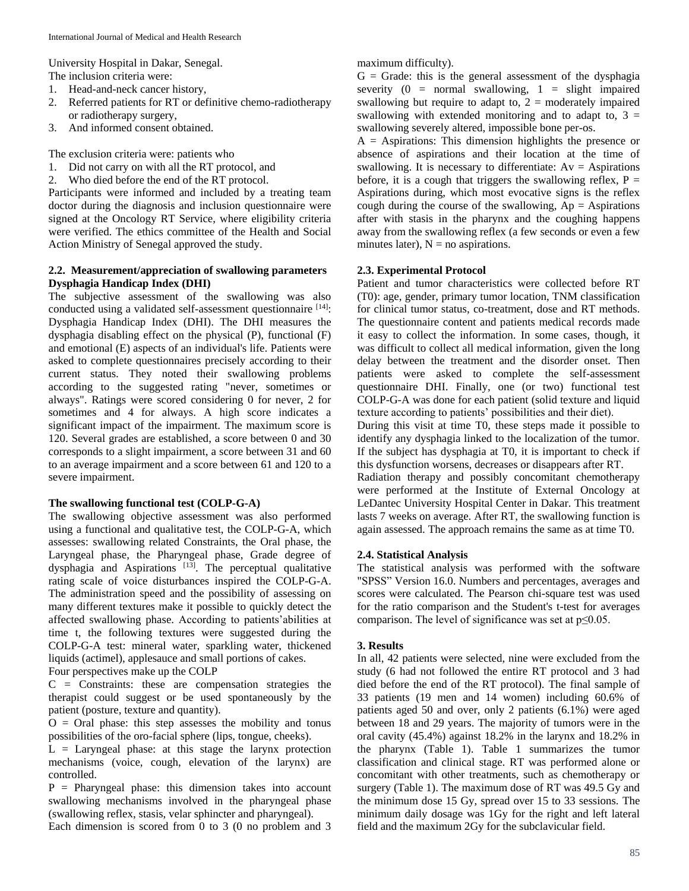University Hospital in Dakar, Senegal.

The inclusion criteria were:

- 1. Head-and-neck cancer history,
- 2. Referred patients for RT or definitive chemo-radiotherapy or radiotherapy surgery,
- 3. And informed consent obtained.

The exclusion criteria were: patients who

- 1. Did not carry on with all the RT protocol, and
- 2. Who died before the end of the RT protocol.

Participants were informed and included by a treating team doctor during the diagnosis and inclusion questionnaire were signed at the Oncology RT Service, where eligibility criteria were verified. The ethics committee of the Health and Social Action Ministry of Senegal approved the study.

## **2.2. Measurement/appreciation of swallowing parameters Dysphagia Handicap Index (DHI)**

The subjective assessment of the swallowing was also conducted using a validated self-assessment questionnaire [14]: Dysphagia Handicap Index (DHI). The DHI measures the dysphagia disabling effect on the physical (P), functional (F) and emotional (E) aspects of an individual's life. Patients were asked to complete questionnaires precisely according to their current status. They noted their swallowing problems according to the suggested rating "never, sometimes or always". Ratings were scored considering 0 for never, 2 for sometimes and 4 for always. A high score indicates a significant impact of the impairment. The maximum score is 120. Several grades are established, a score between 0 and 30 corresponds to a slight impairment, a score between 31 and 60 to an average impairment and a score between 61 and 120 to a severe impairment.

# **The swallowing functional test (COLP-G-A)**

The swallowing objective assessment was also performed using a functional and qualitative test, the COLP-G-A, which assesses: swallowing related Constraints, the Oral phase, the Laryngeal phase, the Pharyngeal phase, Grade degree of dysphagia and Aspirations<sup>[13]</sup>. The perceptual qualitative rating scale of voice disturbances inspired the COLP-G-A. The administration speed and the possibility of assessing on many different textures make it possible to quickly detect the affected swallowing phase. According to patients'abilities at time t, the following textures were suggested during the COLP-G-A test: mineral water, sparkling water, thickened liquids (actimel), applesauce and small portions of cakes.

Four perspectives make up the COLP

 $C =$  Constraints: these are compensation strategies the therapist could suggest or be used spontaneously by the patient (posture, texture and quantity).

 $O =$  Oral phase: this step assesses the mobility and tonus possibilities of the oro-facial sphere (lips, tongue, cheeks).

 $L =$  Laryngeal phase: at this stage the larynx protection mechanisms (voice, cough, elevation of the larynx) are controlled.

P = Pharyngeal phase: this dimension takes into account swallowing mechanisms involved in the pharyngeal phase (swallowing reflex, stasis, velar sphincter and pharyngeal). Each dimension is scored from 0 to 3 (0 no problem and 3 maximum difficulty).

 $G =$  Grade: this is the general assessment of the dysphagia severity  $(0 = normal)$  swallowing,  $1 = slight)$  impaired swallowing but require to adapt to,  $2 =$  moderately impaired swallowing with extended monitoring and to adapt to,  $3 =$ swallowing severely altered, impossible bone per-os.

 $A =$  Aspirations: This dimension highlights the presence or absence of aspirations and their location at the time of swallowing. It is necessary to differentiate:  $Av =$  Aspirations before, it is a cough that triggers the swallowing reflex,  $P =$ Aspirations during, which most evocative signs is the reflex cough during the course of the swallowing,  $Ap = Aspirations$ after with stasis in the pharynx and the coughing happens away from the swallowing reflex (a few seconds or even a few minutes later),  $N = no$  aspirations.

## **2.3. Experimental Protocol**

Patient and tumor characteristics were collected before RT (T0): age, gender, primary tumor location, TNM classification for clinical tumor status, co-treatment, dose and RT methods. The questionnaire content and patients medical records made it easy to collect the information. In some cases, though, it was difficult to collect all medical information, given the long delay between the treatment and the disorder onset. Then patients were asked to complete the self-assessment questionnaire DHI. Finally, one (or two) functional test COLP-G-A was done for each patient (solid texture and liquid texture according to patients' possibilities and their diet).

During this visit at time T0, these steps made it possible to identify any dysphagia linked to the localization of the tumor. If the subject has dysphagia at T0, it is important to check if this dysfunction worsens, decreases or disappears after RT.

Radiation therapy and possibly concomitant chemotherapy were performed at the Institute of External Oncology at LeDantec University Hospital Center in Dakar. This treatment lasts 7 weeks on average. After RT, the swallowing function is again assessed. The approach remains the same as at time T0.

## **2.4. Statistical Analysis**

The statistical analysis was performed with the software "SPSS" Version 16.0. Numbers and percentages, averages and scores were calculated. The Pearson chi-square test was used for the ratio comparison and the Student's t-test for averages comparison. The level of significance was set at  $p \leq 0.05$ .

# **3. Results**

In all, 42 patients were selected, nine were excluded from the study (6 had not followed the entire RT protocol and 3 had died before the end of the RT protocol). The final sample of 33 patients (19 men and 14 women) including 60.6% of patients aged 50 and over, only 2 patients (6.1%) were aged between 18 and 29 years. The majority of tumors were in the oral cavity (45.4%) against 18.2% in the larynx and 18.2% in the pharynx (Table 1). Table 1 summarizes the tumor classification and clinical stage. RT was performed alone or concomitant with other treatments, such as chemotherapy or surgery (Table 1). The maximum dose of RT was 49.5 Gy and the minimum dose 15 Gy, spread over 15 to 33 sessions. The minimum daily dosage was 1Gy for the right and left lateral field and the maximum 2Gy for the subclavicular field.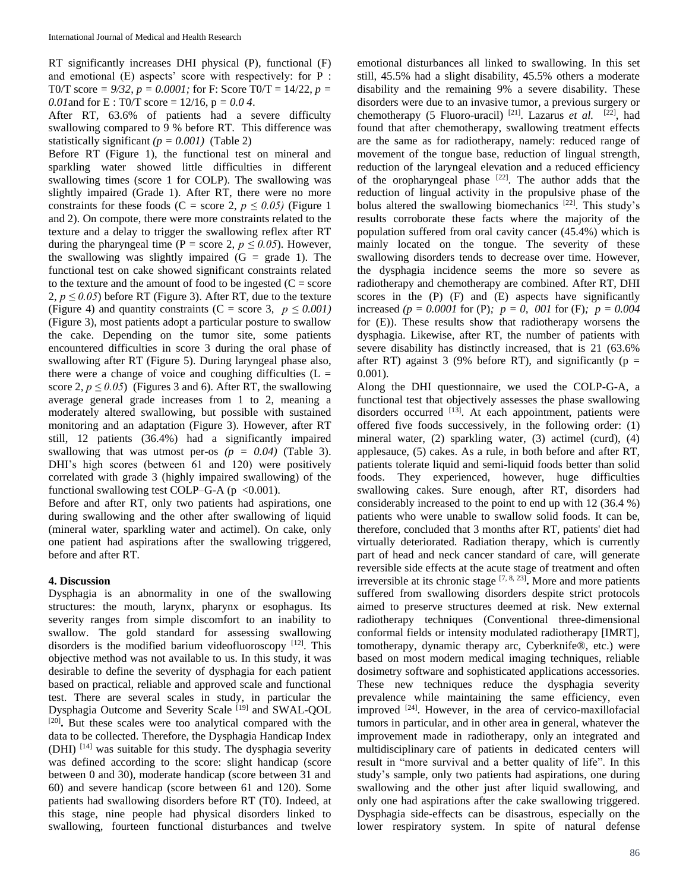RT significantly increases DHI physical (P), functional (F) and emotional (E) aspects' score with respectively: for P : T0/T score *= 9/32*, *p = 0.0001;* for F: Score T0/T = 14/22, *p = 0.01* and for E : T0/T score =  $12/16$ ,  $p = 0.04$ .

After RT, 63.6% of patients had a severe difficulty swallowing compared to 9 % before RT. This difference was statistically significant  $(p = 0.001)$  (Table 2)

Before RT (Figure 1), the functional test on mineral and sparkling water showed little difficulties in different swallowing times (score 1 for COLP). The swallowing was slightly impaired (Grade 1). After RT, there were no more constraints for these foods (C = score 2,  $p \le 0.05$ ) (Figure 1) and 2). On compote, there were more constraints related to the texture and a delay to trigger the swallowing reflex after RT during the pharyngeal time (P = score 2,  $p \le 0.05$ ). However, the swallowing was slightly impaired  $(G = \text{grade } 1)$ . The functional test on cake showed significant constraints related to the texture and the amount of food to be ingested  $(C = score)$ 2,  $p \le 0.05$ ) before RT (Figure 3). After RT, due to the texture (Figure 4) and quantity constraints (C = score 3,  $p \le 0.001$ ) (Figure 3), most patients adopt a particular posture to swallow the cake. Depending on the tumor site, some patients encountered difficulties in score 3 during the oral phase of swallowing after RT (Figure 5). During laryngeal phase also, there were a change of voice and coughing difficulties  $(L =$ score 2,  $p \le 0.05$ ) (Figures 3 and 6). After RT, the swallowing average general grade increases from 1 to 2, meaning a moderately altered swallowing, but possible with sustained monitoring and an adaptation (Figure 3). However, after RT still, 12 patients (36.4%) had a significantly impaired swallowing that was utmost per-os  $(p = 0.04)$  (Table 3). DHI's high scores (between 61 and 120) were positively correlated with grade 3 (highly impaired swallowing) of the functional swallowing test COLP–G-A  $(p \lt 0.001)$ .

Before and after RT, only two patients had aspirations, one during swallowing and the other after swallowing of liquid (mineral water, sparkling water and actimel). On cake, only one patient had aspirations after the swallowing triggered, before and after RT.

## **4. Discussion**

Dysphagia is an abnormality in one of the swallowing structures: the mouth, larynx, pharynx or esophagus. Its severity ranges from simple discomfort to an inability to swallow. The gold standard for assessing swallowing disorders is the modified barium videofluoroscopy [12]. This objective method was not available to us. In this study, it was desirable to define the severity of dysphagia for each patient based on practical, reliable and approved scale and functional test. There are several scales in study, in particular the Dysphagia Outcome and Severity Scale [19] and SWAL-QOL [20] **.** But these scales were too analytical compared with the data to be collected. Therefore, the Dysphagia Handicap Index (DHI) [14] was suitable for this study. The dysphagia severity was defined according to the score: slight handicap (score between 0 and 30), moderate handicap (score between 31 and 60) and severe handicap (score between 61 and 120). Some patients had swallowing disorders before RT (T0). Indeed, at this stage, nine people had physical disorders linked to swallowing, fourteen functional disturbances and twelve

emotional disturbances all linked to swallowing. In this set still, 45.5% had a slight disability, 45.5% others a moderate disability and the remaining 9% a severe disability. These disorders were due to an invasive tumor, a previous surgery or chemotherapy (5 Fluoro-uracil)<sup>[21]</sup>. Lazarus *et al.* <sup>[22]</sup>, had found that after chemotherapy, swallowing treatment effects are the same as for radiotherapy, namely: reduced range of movement of the tongue base, reduction of lingual strength, reduction of the laryngeal elevation and a reduced efficiency of the oropharyngeal phase  $[22]$ . The author adds that the reduction of lingual activity in the propulsive phase of the bolus altered the swallowing biomechanics [22] . This study's results corroborate these facts where the majority of the population suffered from oral cavity cancer (45.4%) which is mainly located on the tongue. The severity of these swallowing disorders tends to decrease over time. However, the dysphagia incidence seems the more so severe as radiotherapy and chemotherapy are combined. After RT, DHI scores in the (P) (F) and (E) aspects have significantly increased *(p = 0.0001* for (P)*; p = 0, 001* for (F)*; p = 0.004* for (E)). These results show that radiotherapy worsens the dysphagia. Likewise, after RT, the number of patients with severe disability has distinctly increased, that is 21 (63.6% after RT) against 3 (9% before RT), and significantly ( $p =$ 0.001)*.*

Along the DHI questionnaire, we used the COLP-G-A, a functional test that objectively assesses the phase swallowing disorders occurred [13]. At each appointment, patients were offered five foods successively, in the following order: (1) mineral water, (2) sparkling water, (3) actimel (curd), (4) applesauce, (5) cakes. As a rule, in both before and after RT, patients tolerate liquid and semi-liquid foods better than solid foods. They experienced, however, huge difficulties swallowing cakes. Sure enough, after RT, disorders had considerably increased to the point to end up with 12 (36.4 %) patients who were unable to swallow solid foods. It can be, therefore, concluded that 3 months after RT, patients' diet had virtually deteriorated. Radiation therapy, which is currently part of head and neck cancer standard of care, will generate reversible side effects at the acute stage of treatment and often irreversible at its chronic stage  $[7, 8, 23]$ . More and more patients suffered from swallowing disorders despite strict protocols aimed to preserve structures deemed at risk. New external radiotherapy techniques (Conventional three-dimensional conformal fields or intensity modulated radiotherapy [IMRT], tomotherapy, dynamic therapy arc, Cyberknife®, etc.) were based on most modern medical imaging techniques, reliable dosimetry software and sophisticated applications accessories. These new techniques reduce the dysphagia severity prevalence while maintaining the same efficiency, even improved <sup>[24]</sup>. However, in the area of cervico-maxillofacial tumors in particular, and in other area in general, whatever the improvement made in radiotherapy, only an integrated and multidisciplinary care of patients in dedicated centers will result in "more survival and a better quality of life". In this study's sample, only two patients had aspirations, one during swallowing and the other just after liquid swallowing, and only one had aspirations after the cake swallowing triggered. Dysphagia side-effects can be disastrous, especially on the lower respiratory system. In spite of natural defense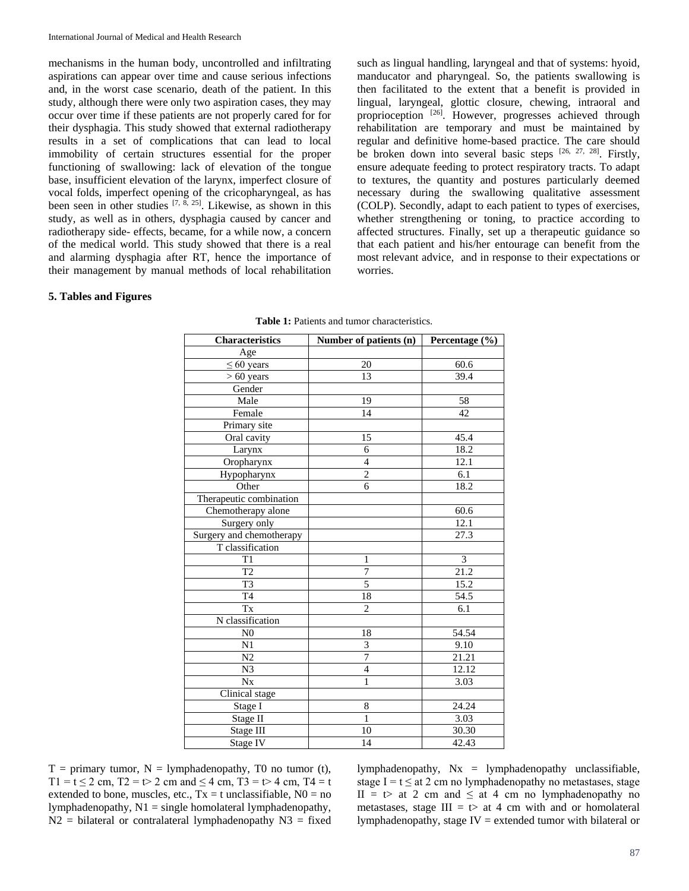mechanisms in the human body, uncontrolled and infiltrating aspirations can appear over time and cause serious infections and, in the worst case scenario, death of the patient. In this study, although there were only two aspiration cases, they may occur over time if these patients are not properly cared for for their dysphagia. This study showed that external radiotherapy results in a set of complications that can lead to local immobility of certain structures essential for the proper functioning of swallowing: lack of elevation of the tongue base, insufficient elevation of the larynx, imperfect closure of vocal folds, imperfect opening of the cricopharyngeal, as has been seen in other studies <sup>[7, 8, 25]</sup>. Likewise, as shown in this study, as well as in others, dysphagia caused by cancer and radiotherapy side- effects, became, for a while now, a concern of the medical world. This study showed that there is a real and alarming dysphagia after RT, hence the importance of their management by manual methods of local rehabilitation

such as lingual handling, laryngeal and that of systems: hyoid, manducator and pharyngeal. So, the patients swallowing is then facilitated to the extent that a benefit is provided in lingual, laryngeal, glottic closure, chewing, intraoral and proprioception <sup>[26]</sup>. However, progresses achieved through rehabilitation are temporary and must be maintained by regular and definitive home-based practice. The care should be broken down into several basic steps  $[26, 27, 28]$ . Firstly, ensure adequate feeding to protect respiratory tracts. To adapt to textures, the quantity and postures particularly deemed necessary during the swallowing qualitative assessment (COLP). Secondly, adapt to each patient to types of exercises, whether strengthening or toning, to practice according to affected structures. Finally, set up a therapeutic guidance so that each patient and his/her entourage can benefit from the most relevant advice, and in response to their expectations or worries.

### **5. Tables and Figures**

| <b>Characteristics</b>   | Number of patients (n)   | Percentage (%)    |
|--------------------------|--------------------------|-------------------|
| Age                      |                          |                   |
| $\leq 60$ years          | 20                       | 60.6              |
| $> 60$ years             | 13                       | 39.4              |
| Gender                   |                          |                   |
| Male                     | 19                       | 58                |
| Female                   | 14                       | 42                |
| Primary site             |                          |                   |
| Oral cavity              | 15                       | 45.4              |
| Larynx                   | 6                        | 18.2              |
| Oropharynx               | 4                        | 12.1              |
| Hypopharynx              | $\overline{c}$           | 6.1               |
| Other                    | 6                        | 18.2              |
| Therapeutic combination  |                          |                   |
| Chemotherapy alone       |                          | 60.6              |
| Surgery only             |                          | 12.1              |
| Surgery and chemotherapy |                          | 27.3              |
| T classification         |                          |                   |
| T <sub>1</sub>           | $\mathbf{1}$             | 3                 |
| $\overline{T2}$          | $\overline{7}$           | $\overline{21.2}$ |
| $\overline{T3}$          | $\overline{5}$           | 15.2              |
| T <sub>4</sub>           | 18                       | 54.5              |
| Tx                       | $\overline{2}$           | 6.1               |
| N classification         |                          |                   |
| N <sub>0</sub>           | 18                       | 54.54             |
| N1                       | 3                        | 9.10              |
| N2                       | 7                        | 21.21             |
| N <sub>3</sub>           | $\overline{\mathcal{L}}$ | 12.12             |
| $N_{X}$                  | 1                        | 3.03              |
| Clinical stage           |                          |                   |
| Stage I                  | 8                        | 24.24             |
| Stage II                 | $\mathbf{1}$             | 3.03              |
| Stage III                | 10                       | 30.30             |
| Stage IV                 | 14                       | 42.43             |

**Table 1:** Patients and tumor characteristics.

 $T =$  primary tumor,  $N =$  lymphadenopathy, T0 no tumor (t), T1 = t  $\leq$  2 cm, T2 = t  $>$  2 cm and  $\leq$  4 cm, T3 = t  $>$  4 cm, T4 = t extended to bone, muscles, etc.,  $Tx = t$  unclassifiable,  $N0 = no$ lymphadenopathy,  $N1 =$  single homolateral lymphadenopathy,  $N2$  = bilateral or contralateral lymphadenopathy  $N3$  = fixed

lymphadenopathy,  $Nx = l$ ymphadenopathy unclassifiable, stage I =  $t \le at 2$  cm no lymphadenopathy no metastases, stage II =  $t$  at 2 cm and  $\leq$  at 4 cm no lymphadenopathy no metastases, stage  $III = t$  at 4 cm with and or homolateral lymphadenopathy, stage IV = extended tumor with bilateral or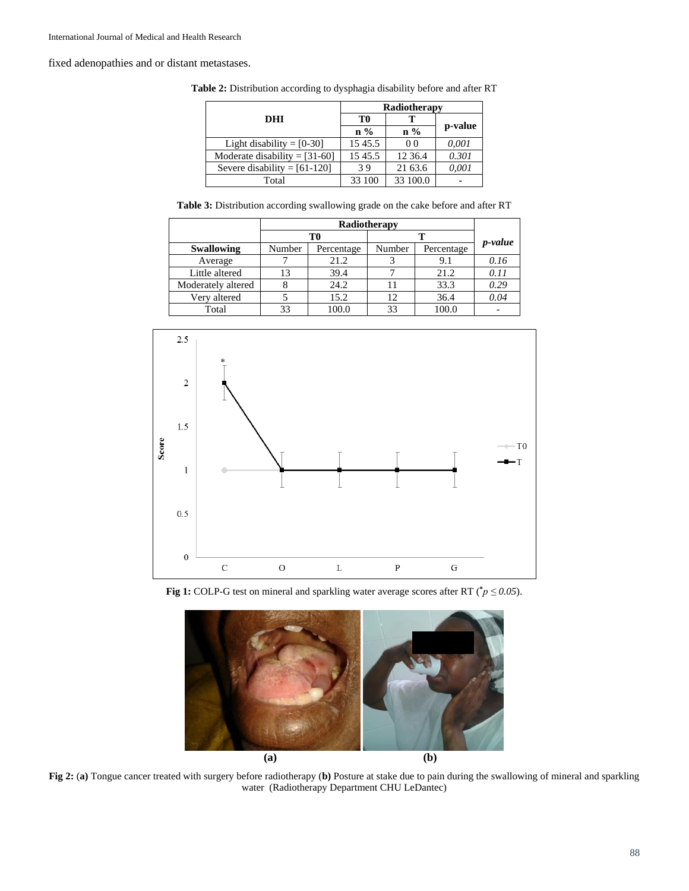fixed adenopathies and or distant metastases.

|  | <b>Table 2:</b> Distribution according to dysphagia disability before and after RT |  |  |  |  |  |  |
|--|------------------------------------------------------------------------------------|--|--|--|--|--|--|
|--|------------------------------------------------------------------------------------|--|--|--|--|--|--|

|                                 | Radiotherapy    |                 |         |  |
|---------------------------------|-----------------|-----------------|---------|--|
| <b>DHI</b>                      | T0              | т               |         |  |
|                                 | $\mathbf{n} \%$ | $\mathbf{n} \%$ | p-value |  |
| Light disability $=[0-30]$      | 15 45.5         | 0 <sub>0</sub>  | 0.001   |  |
| Moderate disability = $[31-60]$ | 15 45.5         | 12 36.4         | 0.301   |  |
| Severe disability = $[61-120]$  | 39              | 21 63.6         | 0.001   |  |
| Total                           | 33 100          | 33 100.0        |         |  |

**Table 3:** Distribution according swallowing grade on the cake before and after RT

|                    | Radiotherapy |            |        |            |                 |
|--------------------|--------------|------------|--------|------------|-----------------|
|                    | T0           |            |        |            |                 |
| <b>Swallowing</b>  | Number       | Percentage | Number | Percentage | <i>p</i> -value |
| Average            |              | 21.2       |        | 9.1        | 0.16            |
| Little altered     |              | 39.4       |        | 21.2       | 0.11            |
| Moderately altered |              | 24.2       |        | 33.3       | 0.29            |
| Very altered       |              | 15.2       | 12     | 36.4       | 0.04            |
| Total              |              | 100.0      | 33     | 100.0      |                 |



**Fig 1:** COLP-G test on mineral and sparkling water average scores after RT ( $\gamma p \le 0.05$ ).



**Fig 2:** (**a)** Tongue cancer treated with surgery before radiotherapy (**b)** Posture at stake due to pain during the swallowing of mineral and sparkling water (Radiotherapy Department CHU LeDantec)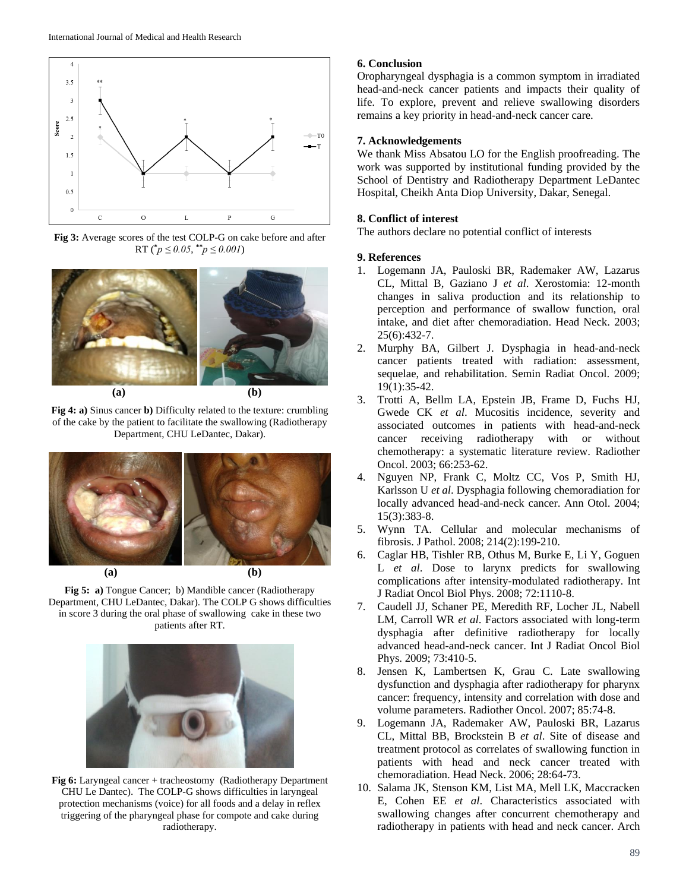

**Fig 3:** Average scores of the test COLP-G on cake before and after RT  $({}^*p \le 0.05, {}^{**}p \le 0.001)$ 



**Fig 4: a)** Sinus cancer **b)** Difficulty related to the texture: crumbling of the cake by the patient to facilitate the swallowing (Radiotherapy Department, CHU LeDantec, Dakar).



**(a) (b)**



**Fig 5: a)** Tongue Cancer; b) Mandible cancer (Radiotherapy Department, CHU LeDantec, Dakar). The COLP G shows difficulties in score 3 during the oral phase of swallowing cake in these two patients after RT.



**Fig 6:** Laryngeal cancer + tracheostomy (Radiotherapy Department CHU Le Dantec). The COLP-G shows difficulties in laryngeal protection mechanisms (voice) for all foods and a delay in reflex triggering of the pharyngeal phase for compote and cake during radiotherapy.

### **6. Conclusion**

Oropharyngeal dysphagia is a common symptom in irradiated head-and-neck cancer patients and impacts their quality of life. To explore, prevent and relieve swallowing disorders remains a key priority in head-and-neck cancer care.

### **7. Acknowledgements**

We thank Miss Absatou LO for the English proofreading. The work was supported by institutional funding provided by the School of Dentistry and Radiotherapy Department LeDantec Hospital, Cheikh Anta Diop University, Dakar, Senegal.

#### **8. Conflict of interest**

The authors declare no potential conflict of interests

#### **9. References**

- 1. Logemann JA, Pauloski BR, Rademaker AW, Lazarus CL, Mittal B, Gaziano J *et al*. Xerostomia: 12-month changes in saliva production and its relationship to perception and performance of swallow function, oral intake, and diet after chemoradiation. Head Neck. 2003; 25(6):432-7.
- 2. Murphy BA, Gilbert J. Dysphagia in head-and-neck cancer patients treated with radiation: assessment, sequelae, and rehabilitation. Semin Radiat Oncol. 2009; 19(1):35-42.
- 3. Trotti A, Bellm LA, Epstein JB, Frame D, Fuchs HJ, Gwede CK *et al*. Mucositis incidence, severity and associated outcomes in patients with head-and-neck cancer receiving radiotherapy with or without chemotherapy: a systematic literature review. Radiother Oncol. 2003; 66:253-62.
- 4. Nguyen NP, Frank C, Moltz CC, Vos P, Smith HJ, Karlsson U *et al*. Dysphagia following chemoradiation for locally advanced head-and-neck cancer. Ann Otol. 2004; 15(3):383-8.
- 5. Wynn TA. Cellular and molecular mechanisms of fibrosis. J Pathol. 2008; 214(2):199-210.
- 6. Caglar HB, Tishler RB, Othus M, Burke E, Li Y, Goguen L *et al*. Dose to larynx predicts for swallowing complications after intensity-modulated radiotherapy. Int J Radiat Oncol Biol Phys. 2008; 72:1110-8.
- 7. Caudell JJ, Schaner PE, Meredith RF, Locher JL, Nabell LM, Carroll WR *et al*. Factors associated with long-term dysphagia after definitive radiotherapy for locally advanced head-and-neck cancer. Int J Radiat Oncol Biol Phys. 2009; 73:410-5.
- 8. Jensen K, Lambertsen K, Grau C. Late swallowing dysfunction and dysphagia after radiotherapy for pharynx cancer: frequency, intensity and correlation with dose and volume parameters. Radiother Oncol. 2007; 85:74-8.
- 9. Logemann JA, Rademaker AW, Pauloski BR, Lazarus CL, Mittal BB, Brockstein B *et al*. Site of disease and treatment protocol as correlates of swallowing function in patients with head and neck cancer treated with chemoradiation. Head Neck. 2006; 28:64-73.
- 10. Salama JK, Stenson KM, List MA, Mell LK, Maccracken E, Cohen EE *et al*. Characteristics associated with swallowing changes after concurrent chemotherapy and radiotherapy in patients with head and neck cancer. Arch